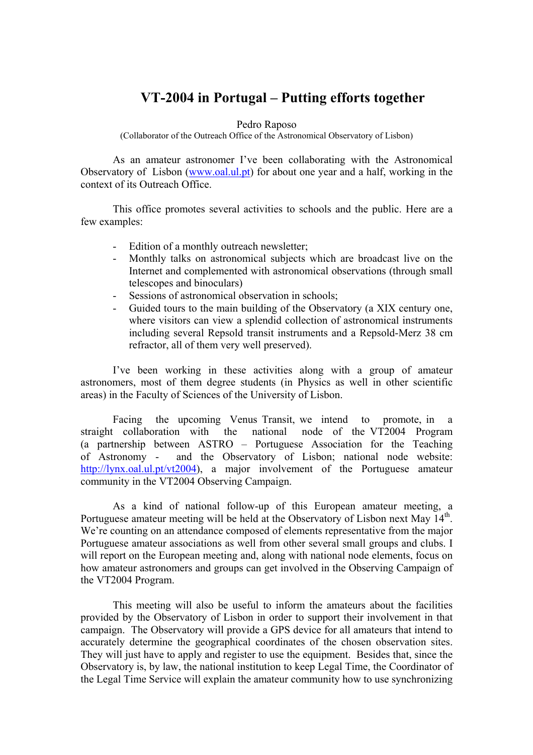## **VT-2004 in Portugal – Putting efforts together**

## Pedro Raposo

(Collaborator of the Outreach Office of the Astronomical Observatory of Lisbon)

As an amateur astronomer I've been collaborating with the Astronomical Observatory of Lisbon ([www.oal.ul.pt](http://www.oal.ul.pt/)) for about one year and a half, working in the context of its Outreach Office.

This office promotes several activities to schools and the public. Here are a few examples:

- Edition of a monthly outreach newsletter;
- Monthly talks on astronomical subjects which are broadcast live on the Internet and complemented with astronomical observations (through small telescopes and binoculars)
- Sessions of astronomical observation in schools;
- Guided tours to the main building of the Observatory (a XIX century one, where visitors can view a splendid collection of astronomical instruments including several Repsold transit instruments and a Repsold-Merz 38 cm refractor, all of them very well preserved).

I've been working in these activities along with a group of amateur astronomers, most of them degree students (in Physics as well in other scientific areas) in the Faculty of Sciences of the University of Lisbon.

Facing the upcoming Venus Transit, we intend to promote, in a straight collaboration with the national node of the VT2004 Program (a partnership between ASTRO – Portuguese Association for the Teaching of Astronomy - and the Observatory of Lisbon; national node website: <http://lynx.oal.ul.pt/vt2004>), a major involvement of the Portuguese amateur community in the VT2004 Observing Campaign.

As a kind of national follow-up of this European amateur meeting, a Portuguese amateur meeting will be held at the Observatory of Lisbon next May 14<sup>th</sup>. We're counting on an attendance composed of elements representative from the major Portuguese amateur associations as well from other several small groups and clubs. I will report on the European meeting and, along with national node elements, focus on how amateur astronomers and groups can get involved in the Observing Campaign of the VT2004 Program.

This meeting will also be useful to inform the amateurs about the facilities provided by the Observatory of Lisbon in order to support their involvement in that campaign. The Observatory will provide a GPS device for all amateurs that intend to accurately determine the geographical coordinates of the chosen observation sites. They will just have to apply and register to use the equipment. Besides that, since the Observatory is, by law, the national institution to keep Legal Time, the Coordinator of the Legal Time Service will explain the amateur community how to use synchronizing